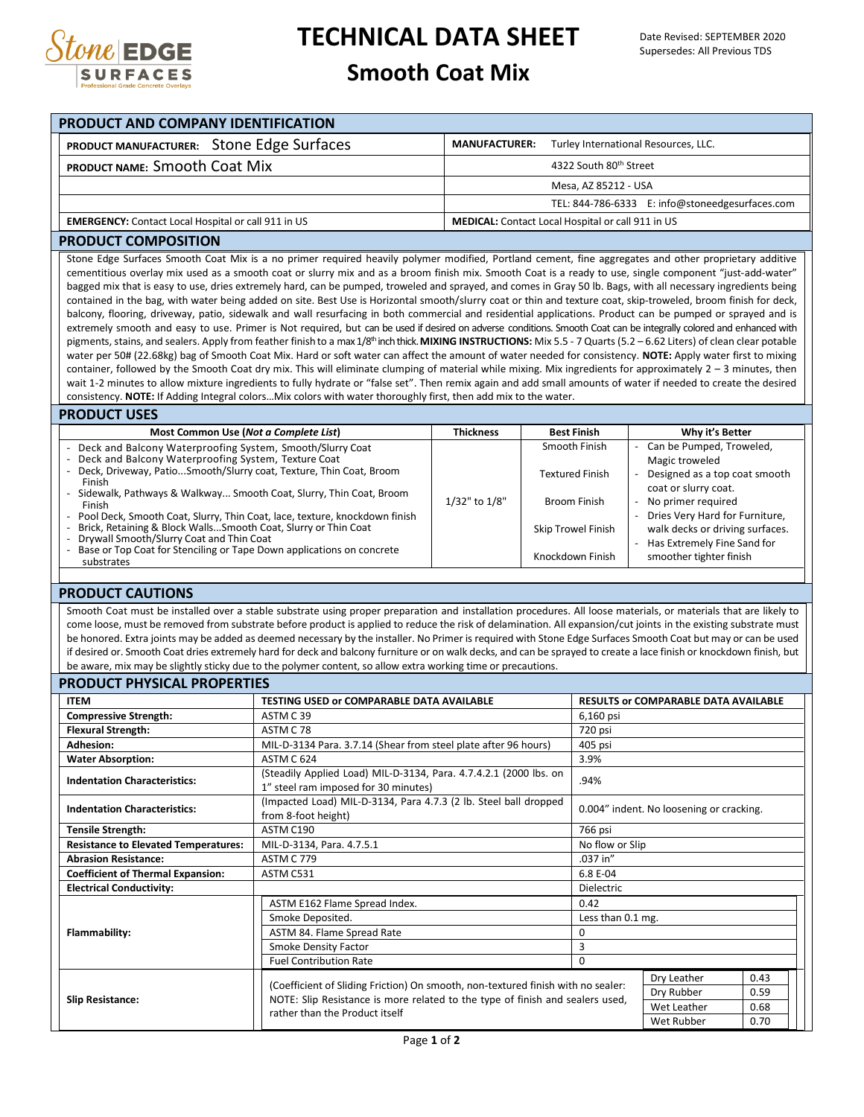

# **TECHNICAL DATA SHEET**

### **Smooth Coat Mix**

| <b>PRODUCT AND COMPANY IDENTIFICATION</b>                  |                                                              |  |  |  |  |  |  |  |  |
|------------------------------------------------------------|--------------------------------------------------------------|--|--|--|--|--|--|--|--|
| PRODUCT MANUFACTURER: Stone Edge Surfaces                  | Turley International Resources, LLC.<br><b>MANUFACTURER:</b> |  |  |  |  |  |  |  |  |
| PRODUCT NAME: SMOOth Coat Mix                              | 4322 South 80th Street                                       |  |  |  |  |  |  |  |  |
|                                                            | Mesa, AZ 85212 - USA                                         |  |  |  |  |  |  |  |  |
|                                                            | TEL: 844-786-6333 E: info@stoneedgesurfaces.com              |  |  |  |  |  |  |  |  |
| <b>EMERGENCY:</b> Contact Local Hospital or call 911 in US | <b>MEDICAL:</b> Contact Local Hospital or call 911 in US     |  |  |  |  |  |  |  |  |

#### **PRODUCT COMPOSITION**

Stone Edge Surfaces Smooth Coat Mix is a no primer required heavily polymer modified, Portland cement, fine aggregates and other proprietary additive cementitious overlay mix used as a smooth coat or slurry mix and as a broom finish mix. Smooth Coat is a ready to use, single component "just-add-water" bagged mix that is easy to use, dries extremely hard, can be pumped, troweled and sprayed, and comes in Gray 50 lb. Bags, with all necessary ingredients being contained in the bag, with water being added on site. Best Use is Horizontal smooth/slurry coat or thin and texture coat, skip-troweled, broom finish for deck, balcony, flooring, driveway, patio, sidewalk and wall resurfacing in both commercial and residential applications. Product can be pumped or sprayed and is extremely smooth and easy to use. Primer is Not required, but can be used if desired on adverse conditions. Smooth Coat can be integrally colored and enhanced with pigments, stains, and sealers. Apply from feather finish to a max 1/8<sup>th</sup> inch thick. **MIXING INSTRUCTIONS:** Mix 5.5 - 7 Quarts (5.2 – 6.62 Liters) of clean clear potable water per 50# (22.68kg) bag of Smooth Coat Mix. Hard or soft water can affect the amount of water needed for consistency. **NOTE:** Apply water first to mixing container, followed by the Smooth Coat dry mix. This will eliminate clumping of material while mixing. Mix ingredients for approximately  $2 - 3$  minutes, then wait 1-2 minutes to allow mixture ingredients to fully hydrate or "false set". Then remix again and add small amounts of water if needed to create the desired consistency. **NOTE:** If Adding Integral colors…Mix colors with water thoroughly first, then add mix to the water.

#### **PRODUCT USES**

| Most Common Use (Not a Complete List)                                          | <b>Thickness</b> | <b>Best Finish</b>        | Why it's Better                 |
|--------------------------------------------------------------------------------|------------------|---------------------------|---------------------------------|
| - Deck and Balcony Waterproofing System, Smooth/Slurry Coat                    |                  | Smooth Finish             | Can be Pumped, Troweled,        |
| - Deck and Balcony Waterproofing System, Texture Coat                          |                  |                           | Magic troweled                  |
| - Deck, Driveway, Patio Smooth/Slurry coat, Texture, Thin Coat, Broom          |                  | <b>Textured Finish</b>    | Designed as a top coat smooth   |
| Finish                                                                         |                  |                           | coat or slurry coat.            |
| - Sidewalk, Pathways & Walkway Smooth Coat, Slurry, Thin Coat, Broom<br>Finish | 1/32" to 1/8"    | Broom Finish              | No primer required              |
| - Pool Deck, Smooth Coat, Slurry, Thin Coat, lace, texture, knockdown finish   |                  |                           | Dries Very Hard for Furniture,  |
| - Brick, Retaining & Block Walls Smooth Coat, Slurry or Thin Coat              |                  | <b>Skip Trowel Finish</b> | walk decks or driving surfaces. |
| - Drywall Smooth/Slurry Coat and Thin Coat                                     |                  |                           | Has Extremely Fine Sand for     |
| - Base or Top Coat for Stenciling or Tape Down applications on concrete        |                  | Knockdown Finish          | smoother tighter finish         |
| substrates                                                                     |                  |                           |                                 |

#### **PRODUCT CAUTIONS**

Smooth Coat must be installed over a stable substrate using proper preparation and installation procedures. All loose materials, or materials that are likely to come loose, must be removed from substrate before product is applied to reduce the risk of delamination. All expansion/cut joints in the existing substrate must be honored. Extra joints may be added as deemed necessary by the installer. No Primer is required with Stone Edge Surfaces Smooth Coat but may or can be used if desired or. Smooth Coat dries extremely hard for deck and balcony furniture or on walk decks, and can be sprayed to create a lace finish or knockdown finish, but be aware, mix may be slightly sticky due to the polymer content, so allow extra working time or precautions.

#### **PRODUCT PHYSICAL PROPERTIES**

| <b>ITEM</b>                                                                                                                                                                                                                                                                              | TESTING USED or COMPARABLE DATA AVAILABLE                                                                 | <b>RESULTS or COMPARABLE DATA AVAILABLE</b> |  |  |  |  |
|------------------------------------------------------------------------------------------------------------------------------------------------------------------------------------------------------------------------------------------------------------------------------------------|-----------------------------------------------------------------------------------------------------------|---------------------------------------------|--|--|--|--|
| <b>Compressive Strength:</b>                                                                                                                                                                                                                                                             | ASTM C39<br>6,160 psi                                                                                     |                                             |  |  |  |  |
| <b>Flexural Strength:</b>                                                                                                                                                                                                                                                                | ASTM C 78                                                                                                 | 720 psi                                     |  |  |  |  |
| <b>Adhesion:</b>                                                                                                                                                                                                                                                                         | MIL-D-3134 Para. 3.7.14 (Shear from steel plate after 96 hours)                                           | 405 psi                                     |  |  |  |  |
| <b>Water Absorption:</b>                                                                                                                                                                                                                                                                 | ASTM C 624                                                                                                | 3.9%                                        |  |  |  |  |
| <b>Indentation Characteristics:</b>                                                                                                                                                                                                                                                      | (Steadily Applied Load) MIL-D-3134, Para. 4.7.4.2.1 (2000 lbs. on<br>1" steel ram imposed for 30 minutes) | .94%                                        |  |  |  |  |
| <b>Indentation Characteristics:</b>                                                                                                                                                                                                                                                      | (Impacted Load) MIL-D-3134, Para 4.7.3 (2 lb. Steel ball dropped<br>from 8-foot height)                   | 0.004" indent. No loosening or cracking.    |  |  |  |  |
| <b>Tensile Strength:</b>                                                                                                                                                                                                                                                                 | ASTM C190                                                                                                 | 766 psi                                     |  |  |  |  |
| <b>Resistance to Elevated Temperatures:</b>                                                                                                                                                                                                                                              | MIL-D-3134, Para. 4.7.5.1<br>No flow or Slip                                                              |                                             |  |  |  |  |
| <b>Abrasion Resistance:</b>                                                                                                                                                                                                                                                              | .037 in"<br><b>ASTM C 779</b>                                                                             |                                             |  |  |  |  |
| <b>Coefficient of Thermal Expansion:</b>                                                                                                                                                                                                                                                 | ASTM C531                                                                                                 | 6.8 E-04                                    |  |  |  |  |
| <b>Electrical Conductivity:</b>                                                                                                                                                                                                                                                          |                                                                                                           | <b>Dielectric</b>                           |  |  |  |  |
|                                                                                                                                                                                                                                                                                          | ASTM E162 Flame Spread Index.                                                                             | 0.42                                        |  |  |  |  |
|                                                                                                                                                                                                                                                                                          | Smoke Deposited.                                                                                          | Less than 0.1 mg.                           |  |  |  |  |
| Flammability:                                                                                                                                                                                                                                                                            | ASTM 84. Flame Spread Rate                                                                                | 0                                           |  |  |  |  |
|                                                                                                                                                                                                                                                                                          | <b>Smoke Density Factor</b>                                                                               | 3                                           |  |  |  |  |
|                                                                                                                                                                                                                                                                                          | <b>Fuel Contribution Rate</b>                                                                             | 0                                           |  |  |  |  |
| Dry Leather<br>(Coefficient of Sliding Friction) On smooth, non-textured finish with no sealer:<br>Dry Rubber<br>NOTE: Slip Resistance is more related to the type of finish and sealers used,<br><b>Slip Resistance:</b><br>Wet Leather<br>rather than the Product itself<br>Wet Rubber |                                                                                                           |                                             |  |  |  |  |